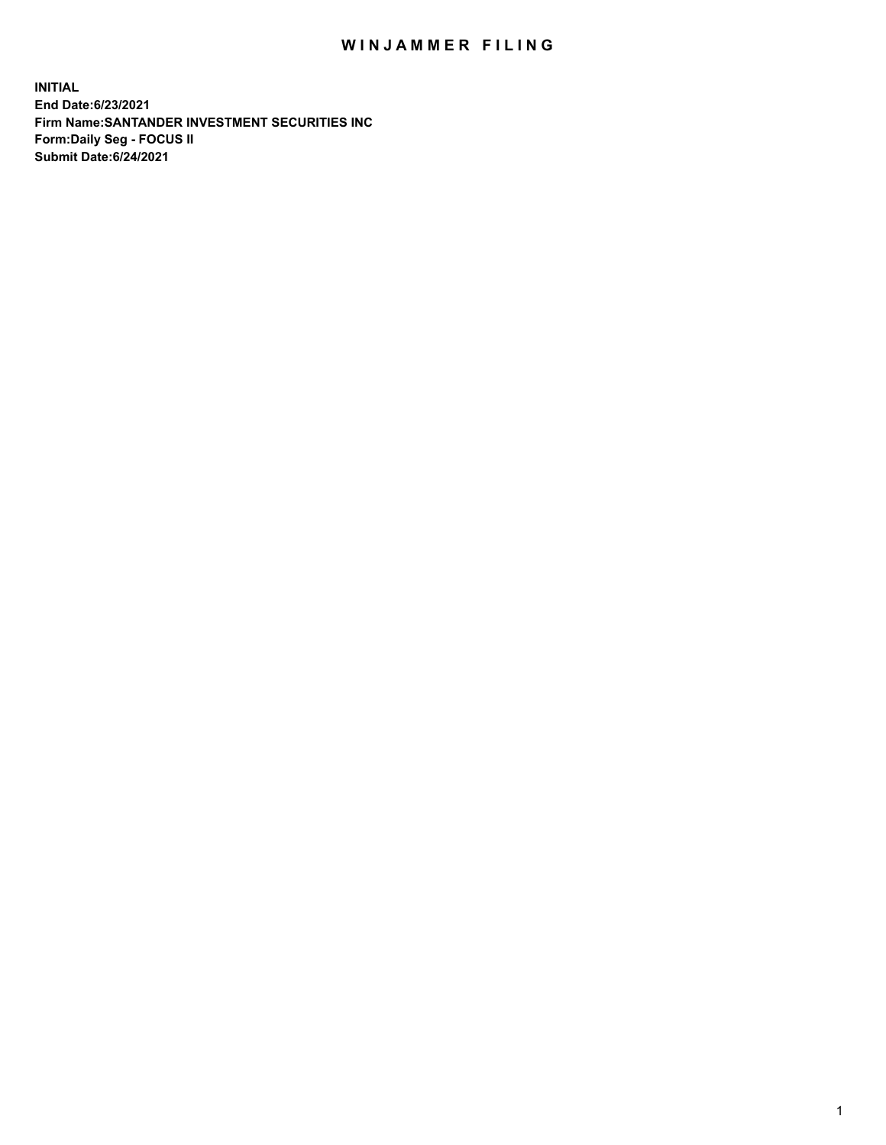## WIN JAMMER FILING

**INITIAL End Date:6/23/2021 Firm Name:SANTANDER INVESTMENT SECURITIES INC Form:Daily Seg - FOCUS II Submit Date:6/24/2021**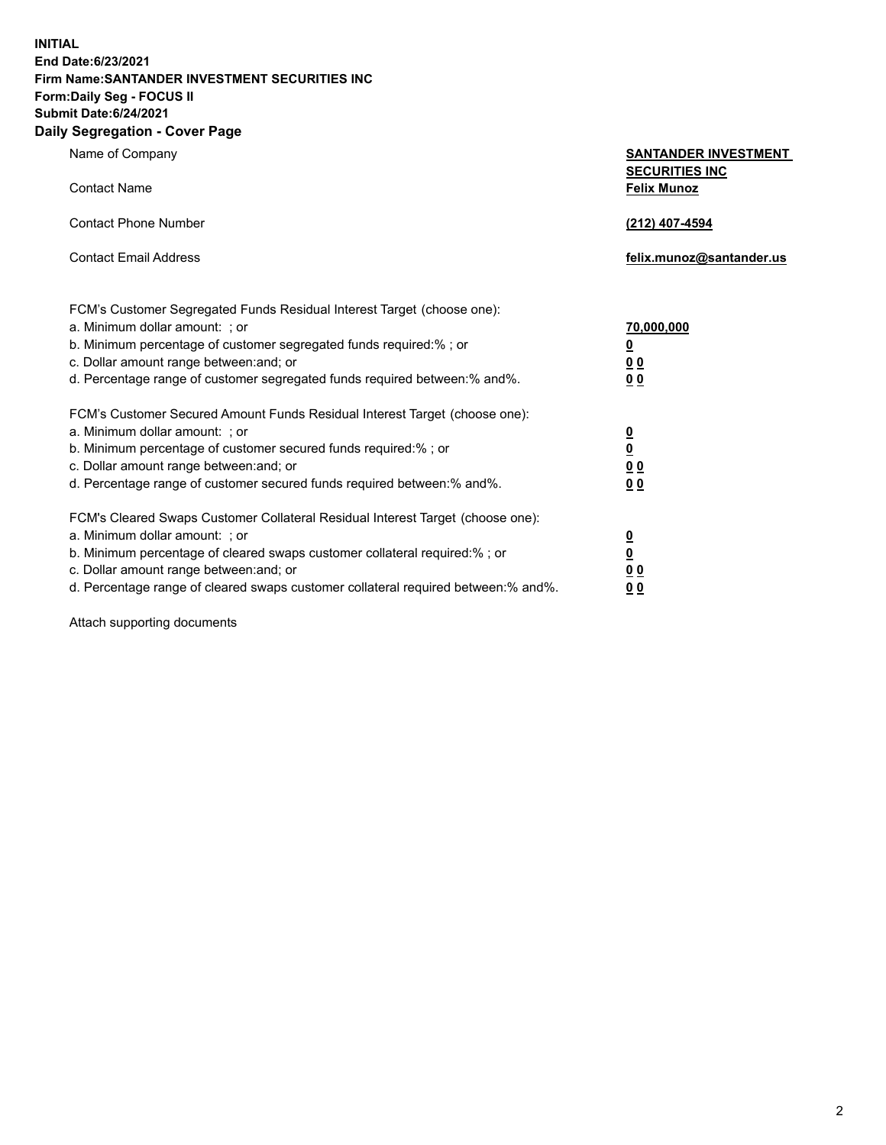**INITIAL End Date:6/23/2021 Firm Name:SANTANDER INVESTMENT SECURITIES INC Form:Daily Seg - FOCUS II Submit Date:6/24/2021 Daily Segregation - Cover Page**

| Name of Company                                                                   | <b>SANTANDER INVESTMENT</b><br><b>SECURITIES INC</b> |
|-----------------------------------------------------------------------------------|------------------------------------------------------|
| <b>Contact Name</b>                                                               | <b>Felix Munoz</b>                                   |
| <b>Contact Phone Number</b>                                                       | (212) 407-4594                                       |
| <b>Contact Email Address</b>                                                      | felix.munoz@santander.us                             |
| FCM's Customer Segregated Funds Residual Interest Target (choose one):            |                                                      |
| a. Minimum dollar amount: ; or                                                    | 70,000,000                                           |
| b. Minimum percentage of customer segregated funds required:%; or                 | <u>0</u>                                             |
| c. Dollar amount range between: and; or                                           | 0 <sub>0</sub>                                       |
| d. Percentage range of customer segregated funds required between:% and%.         | 0 <sub>0</sub>                                       |
| FCM's Customer Secured Amount Funds Residual Interest Target (choose one):        |                                                      |
| a. Minimum dollar amount: ; or                                                    | $\frac{0}{0}$                                        |
| b. Minimum percentage of customer secured funds required:%; or                    |                                                      |
| c. Dollar amount range between: and; or                                           | 0 <sub>0</sub>                                       |
| d. Percentage range of customer secured funds required between:% and%.            | 0 <sub>0</sub>                                       |
| FCM's Cleared Swaps Customer Collateral Residual Interest Target (choose one):    |                                                      |
| a. Minimum dollar amount: ; or                                                    | $\overline{\mathbf{0}}$                              |
| b. Minimum percentage of cleared swaps customer collateral required:% ; or        | $\underline{\mathbf{0}}$                             |
| c. Dollar amount range between: and; or                                           | 0 <sub>0</sub>                                       |
| d. Percentage range of cleared swaps customer collateral required between:% and%. | <u>00</u>                                            |

Attach supporting documents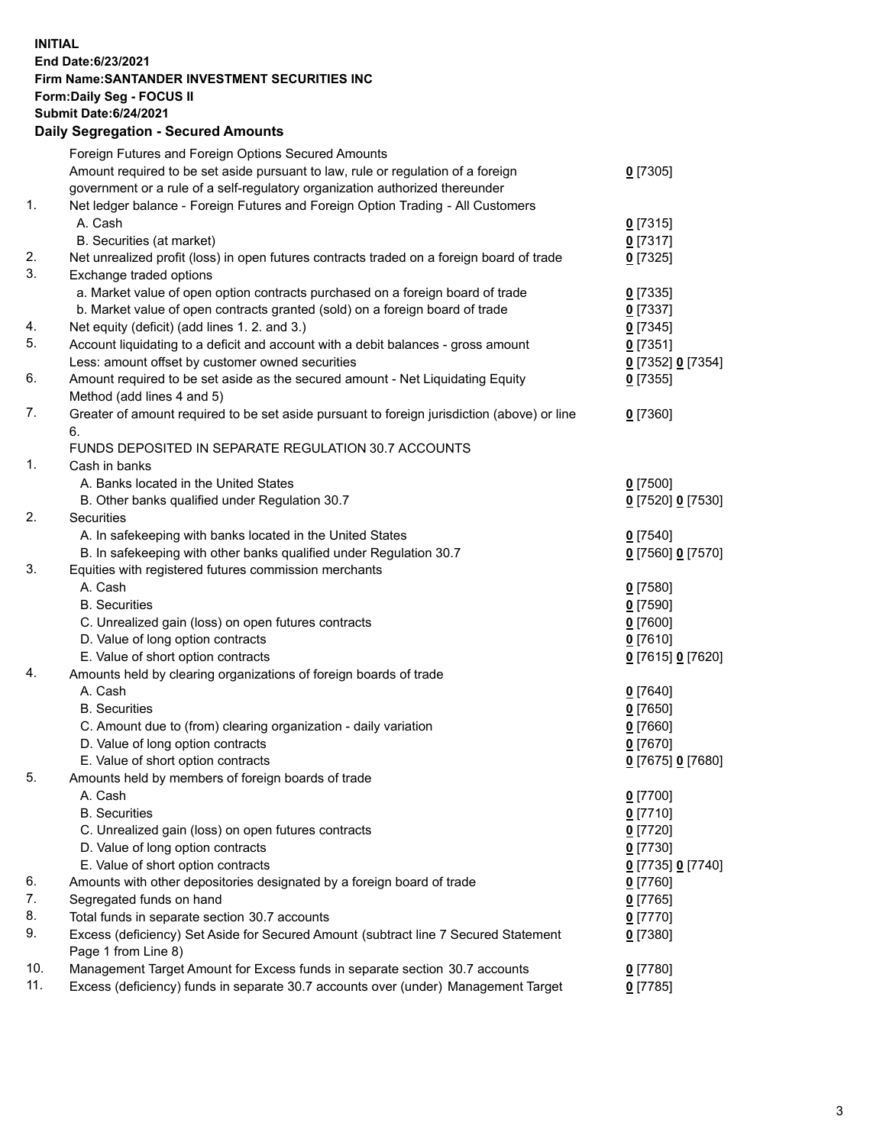**INITIAL End Date:6/23/2021 Firm Name:SANTANDER INVESTMENT SECURITIES INC Form:Daily Seg - FOCUS II Submit Date:6/24/2021 Daily Segregation - Secured Amounts**

|     | Foreign Futures and Foreign Options Secured Amounts                                         |                   |
|-----|---------------------------------------------------------------------------------------------|-------------------|
|     | Amount required to be set aside pursuant to law, rule or regulation of a foreign            | $0$ [7305]        |
|     | government or a rule of a self-regulatory organization authorized thereunder                |                   |
| 1.  | Net ledger balance - Foreign Futures and Foreign Option Trading - All Customers             |                   |
|     | A. Cash                                                                                     | $0$ [7315]        |
|     | B. Securities (at market)                                                                   | $0$ [7317]        |
| 2.  | Net unrealized profit (loss) in open futures contracts traded on a foreign board of trade   | $0$ [7325]        |
| 3.  | Exchange traded options                                                                     |                   |
|     | a. Market value of open option contracts purchased on a foreign board of trade              | $0$ [7335]        |
|     | b. Market value of open contracts granted (sold) on a foreign board of trade                | $0$ [7337]        |
| 4.  | Net equity (deficit) (add lines 1. 2. and 3.)                                               | $0$ [7345]        |
| 5.  | Account liquidating to a deficit and account with a debit balances - gross amount           | $0$ [7351]        |
|     | Less: amount offset by customer owned securities                                            | 0 [7352] 0 [7354] |
| 6.  | Amount required to be set aside as the secured amount - Net Liquidating Equity              | $0$ [7355]        |
|     | Method (add lines 4 and 5)                                                                  |                   |
| 7.  | Greater of amount required to be set aside pursuant to foreign jurisdiction (above) or line | $0$ [7360]        |
|     | 6.                                                                                          |                   |
|     | FUNDS DEPOSITED IN SEPARATE REGULATION 30.7 ACCOUNTS                                        |                   |
| 1.  | Cash in banks                                                                               |                   |
|     | A. Banks located in the United States                                                       | $0$ [7500]        |
|     | B. Other banks qualified under Regulation 30.7                                              | 0 [7520] 0 [7530] |
| 2.  | Securities                                                                                  |                   |
|     | A. In safekeeping with banks located in the United States                                   | $0$ [7540]        |
|     | B. In safekeeping with other banks qualified under Regulation 30.7                          | 0 [7560] 0 [7570] |
| 3.  | Equities with registered futures commission merchants                                       |                   |
|     | A. Cash                                                                                     | $0$ [7580]        |
|     | <b>B.</b> Securities                                                                        | $0$ [7590]        |
|     | C. Unrealized gain (loss) on open futures contracts                                         | $0$ [7600]        |
|     | D. Value of long option contracts                                                           | $0$ [7610]        |
|     | E. Value of short option contracts                                                          | 0 [7615] 0 [7620] |
| 4.  | Amounts held by clearing organizations of foreign boards of trade                           |                   |
|     | A. Cash                                                                                     | $0$ [7640]        |
|     | <b>B.</b> Securities                                                                        | $0$ [7650]        |
|     | C. Amount due to (from) clearing organization - daily variation                             | $0$ [7660]        |
|     | D. Value of long option contracts                                                           | $0$ [7670]        |
|     | E. Value of short option contracts                                                          | 0 [7675] 0 [7680] |
| 5.  | Amounts held by members of foreign boards of trade                                          |                   |
|     | A. Cash                                                                                     | $0$ [7700]        |
|     | <b>B.</b> Securities                                                                        | $0$ [7710]        |
|     | C. Unrealized gain (loss) on open futures contracts                                         | $0$ [7720]        |
|     | D. Value of long option contracts                                                           | $0$ [7730]        |
|     | E. Value of short option contracts                                                          | 0 [7735] 0 [7740] |
| 6.  | Amounts with other depositories designated by a foreign board of trade                      | $0$ [7760]        |
| 7.  | Segregated funds on hand                                                                    | $0$ [7765]        |
| 8.  | Total funds in separate section 30.7 accounts                                               | $0$ [7770]        |
| 9.  | Excess (deficiency) Set Aside for Secured Amount (subtract line 7 Secured Statement         | $0$ [7380]        |
|     | Page 1 from Line 8)                                                                         |                   |
| 10. | Management Target Amount for Excess funds in separate section 30.7 accounts                 | $0$ [7780]        |
| 11. | Excess (deficiency) funds in separate 30.7 accounts over (under) Management Target          | $0$ [7785]        |
|     |                                                                                             |                   |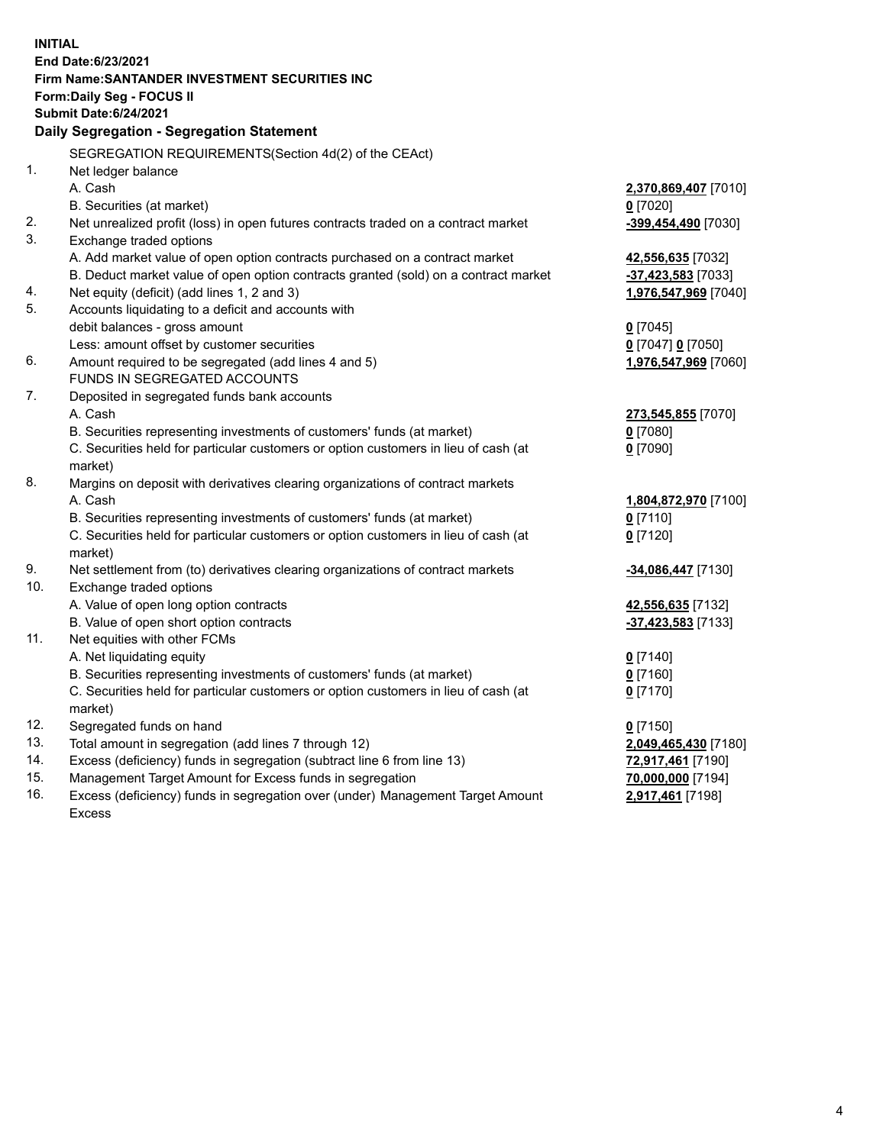| <b>INITIAL</b> |                                                                                                |                      |  |  |  |  |
|----------------|------------------------------------------------------------------------------------------------|----------------------|--|--|--|--|
|                | End Date: 6/23/2021                                                                            |                      |  |  |  |  |
|                | Firm Name: SANTANDER INVESTMENT SECURITIES INC                                                 |                      |  |  |  |  |
|                | Form: Daily Seg - FOCUS II                                                                     |                      |  |  |  |  |
|                | <b>Submit Date:6/24/2021</b>                                                                   |                      |  |  |  |  |
|                | Daily Segregation - Segregation Statement                                                      |                      |  |  |  |  |
|                | SEGREGATION REQUIREMENTS(Section 4d(2) of the CEAct)                                           |                      |  |  |  |  |
| 1.             | Net ledger balance                                                                             |                      |  |  |  |  |
|                | A. Cash                                                                                        | 2,370,869,407 [7010] |  |  |  |  |
|                | B. Securities (at market)                                                                      | $0$ [7020]           |  |  |  |  |
| 2.             | Net unrealized profit (loss) in open futures contracts traded on a contract market             | -399,454,490 [7030]  |  |  |  |  |
| 3.             | Exchange traded options                                                                        |                      |  |  |  |  |
|                | A. Add market value of open option contracts purchased on a contract market                    | 42,556,635 [7032]    |  |  |  |  |
|                | B. Deduct market value of open option contracts granted (sold) on a contract market            | -37,423,583 [7033]   |  |  |  |  |
| 4.             | Net equity (deficit) (add lines 1, 2 and 3)                                                    | 1,976,547,969 [7040] |  |  |  |  |
| 5.             | Accounts liquidating to a deficit and accounts with                                            |                      |  |  |  |  |
|                | debit balances - gross amount                                                                  | $0$ [7045]           |  |  |  |  |
|                | Less: amount offset by customer securities                                                     | 0 [7047] 0 [7050]    |  |  |  |  |
| 6.             | Amount required to be segregated (add lines 4 and 5)                                           | 1,976,547,969 [7060] |  |  |  |  |
|                | FUNDS IN SEGREGATED ACCOUNTS                                                                   |                      |  |  |  |  |
| 7.             | Deposited in segregated funds bank accounts                                                    |                      |  |  |  |  |
|                | A. Cash                                                                                        | 273,545,855 [7070]   |  |  |  |  |
|                | B. Securities representing investments of customers' funds (at market)                         | $0$ [7080]           |  |  |  |  |
|                | C. Securities held for particular customers or option customers in lieu of cash (at            | $0$ [7090]           |  |  |  |  |
|                | market)                                                                                        |                      |  |  |  |  |
| 8.             | Margins on deposit with derivatives clearing organizations of contract markets                 |                      |  |  |  |  |
|                | A. Cash                                                                                        | 1,804,872,970 [7100] |  |  |  |  |
|                | B. Securities representing investments of customers' funds (at market)                         | $0$ [7110]           |  |  |  |  |
|                | C. Securities held for particular customers or option customers in lieu of cash (at<br>market) | $0$ [7120]           |  |  |  |  |
| 9.             | Net settlement from (to) derivatives clearing organizations of contract markets                | -34,086,447 [7130]   |  |  |  |  |
| 10.            | Exchange traded options                                                                        |                      |  |  |  |  |
|                | A. Value of open long option contracts                                                         | 42,556,635 [7132]    |  |  |  |  |
|                | B. Value of open short option contracts                                                        | -37,423,583 [7133]   |  |  |  |  |
| 11.            | Net equities with other FCMs                                                                   |                      |  |  |  |  |
|                | A. Net liquidating equity                                                                      | $0$ [7140]           |  |  |  |  |
|                | B. Securities representing investments of customers' funds (at market)                         | $0$ [7160]           |  |  |  |  |
|                | C. Securities held for particular customers or option customers in lieu of cash (at            | $0$ [7170]           |  |  |  |  |
|                | market)                                                                                        |                      |  |  |  |  |
| 12.            | Segregated funds on hand                                                                       | $0$ [7150]           |  |  |  |  |
| 13.            | Total amount in segregation (add lines 7 through 12)                                           | 2,049,465,430 [7180] |  |  |  |  |
| 14.            | Excess (deficiency) funds in segregation (subtract line 6 from line 13)                        | 72,917,461 [7190]    |  |  |  |  |
| 15.            | Management Target Amount for Excess funds in segregation                                       | 70,000,000 [7194]    |  |  |  |  |
| 16.            | Excess (deficiency) funds in segregation over (under) Management Target Amount                 | 2,917,461 [7198]     |  |  |  |  |
|                | <b>Excess</b>                                                                                  |                      |  |  |  |  |